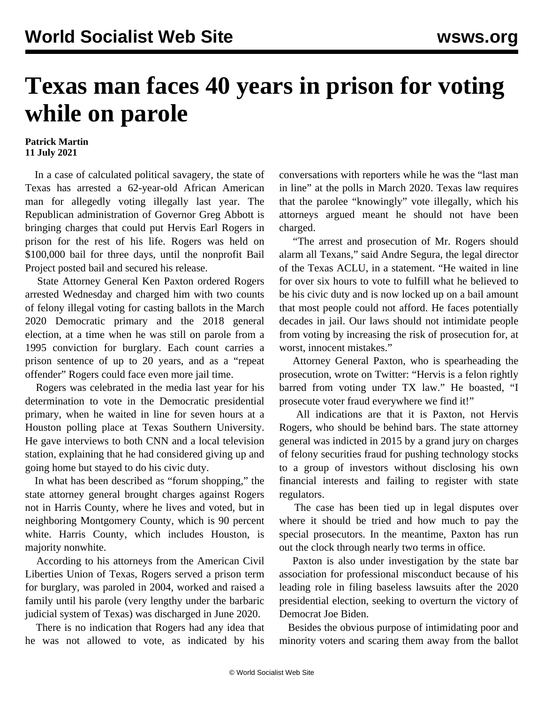## **Texas man faces 40 years in prison for voting while on parole**

## **Patrick Martin 11 July 2021**

 In a case of calculated political savagery, the state of Texas has arrested a 62-year-old African American man for allegedly voting illegally last year. The Republican administration of Governor Greg Abbott is bringing charges that could put Hervis Earl Rogers in prison for the rest of his life. Rogers was held on \$100,000 bail for three days, until the nonprofit Bail Project posted bail and secured his release.

 State Attorney General Ken Paxton ordered Rogers arrested Wednesday and charged him with two counts of felony illegal voting for casting ballots in the March 2020 Democratic primary and the 2018 general election, at a time when he was still on parole from a 1995 conviction for burglary. Each count carries a prison sentence of up to 20 years, and as a "repeat offender" Rogers could face even more jail time.

 Rogers was celebrated in the media last year for his determination to vote in the Democratic presidential primary, when he waited in line for seven hours at a Houston polling place at Texas Southern University. He gave interviews to both CNN and a local television station, explaining that he had considered giving up and going home but stayed to do his civic duty.

 In what has been described as "forum shopping," the state attorney general brought charges against Rogers not in Harris County, where he lives and voted, but in neighboring Montgomery County, which is 90 percent white. Harris County, which includes Houston, is majority nonwhite.

 According to his attorneys from the American Civil Liberties Union of Texas, Rogers served a prison term for burglary, was paroled in 2004, worked and raised a family until his parole (very lengthy under the barbaric judicial system of Texas) was discharged in June 2020.

 There is no indication that Rogers had any idea that he was not allowed to vote, as indicated by his

conversations with reporters while he was the "last man in line" at the polls in March 2020. Texas law requires that the parolee "knowingly" vote illegally, which his attorneys argued meant he should not have been charged.

 "The arrest and prosecution of Mr. Rogers should alarm all Texans," said Andre Segura, the legal director of the Texas ACLU, in a statement. "He waited in line for over six hours to vote to fulfill what he believed to be his civic duty and is now locked up on a bail amount that most people could not afford. He faces potentially decades in jail. Our laws should not intimidate people from voting by increasing the risk of prosecution for, at worst, innocent mistakes."

 Attorney General Paxton, who is spearheading the prosecution, wrote on Twitter: "Hervis is a felon rightly barred from voting under TX law." He boasted, "I prosecute voter fraud everywhere we find it!"

 All indications are that it is Paxton, not Hervis Rogers, who should be behind bars. The state attorney general was indicted in 2015 by a grand jury on charges of felony securities fraud for pushing technology stocks to a group of investors without disclosing his own financial interests and failing to register with state regulators.

 The case has been tied up in legal disputes over where it should be tried and how much to pay the special prosecutors. In the meantime, Paxton has run out the clock through nearly two terms in office.

 Paxton is also under investigation by the state bar association for professional misconduct because of his leading role in filing baseless lawsuits after the 2020 presidential election, seeking to overturn the victory of Democrat Joe Biden.

 Besides the obvious purpose of intimidating poor and minority voters and scaring them away from the ballot